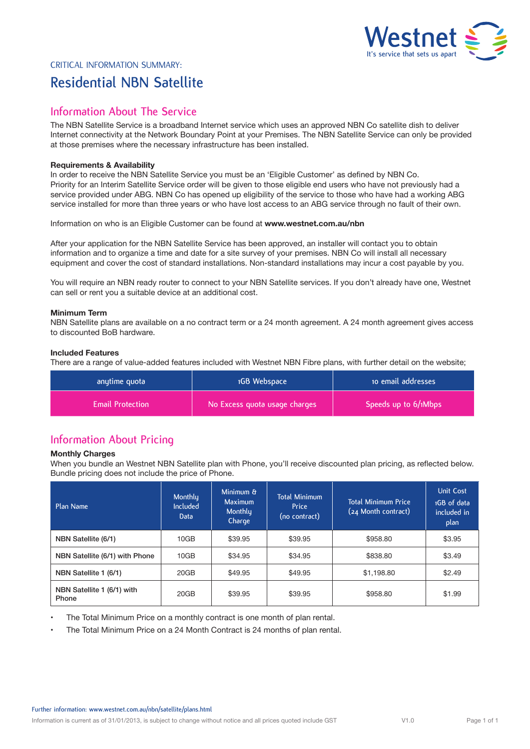

# Critical Information Summary: **Residential NBN Satellite**

## **Information About The Service**

The NBN Satellite Service is a broadband Internet service which uses an approved NBN Co satellite dish to deliver Internet connectivity at the Network Boundary Point at your Premises. The NBN Satellite Service can only be provided at those premises where the necessary infrastructure has been installed.

### **Requirements & Availability**

In order to receive the NBN Satellite Service you must be an 'Eligible Customer' as defined by NBN Co. Priority for an Interim Satellite Service order will be given to those eligible end users who have not previously had a service provided under ABG. NBN Co has opened up eligibility of the service to those who have had a working ABG service installed for more than three years or who have lost access to an ABG service through no fault of their own.

Information on who is an Eligible Customer can be found at **www.westnet.com.au/nbn**

After your application for the NBN Satellite Service has been approved, an installer will contact you to obtain information and to organize a time and date for a site survey of your premises. NBN Co will install all necessary equipment and cover the cost of standard installations. Non-standard installations may incur a cost payable by you.

You will require an NBN ready router to connect to your NBN Satellite services. If you don't already have one, Westnet can sell or rent you a suitable device at an additional cost.

## **Minimum Term**

NBN Satellite plans are available on a no contract term or a 24 month agreement. A 24 month agreement gives access to discounted BoB hardware.

## **Included Features**

There are a range of value-added features included with Westnet NBN Fibre plans, with further detail on the website;

| anytime quota           | 1GB Webspace                  | to email addresses   |  |
|-------------------------|-------------------------------|----------------------|--|
| <b>Email Protection</b> | No Excess quota usage charges | Speeds up to 6/1Mbps |  |

## **Information About Pricing**

### **Monthly Charges**

When you bundle an Westnet NBN Satellite plan with Phone, you'll receive discounted plan pricing, as reflected below. Bundle pricing does not include the price of Phone.

| Plan Name                           | Monthly<br><b>Included</b><br>Data | Minimum &<br><b>Maximum</b><br>Monthly<br>Charge | <b>Total Minimum</b><br>Price<br>(no contract) | <b>Total Minimum Price</b><br>(24 Month contract) | <b>Unit Cost</b><br>1GB of data<br>included in<br>plan |
|-------------------------------------|------------------------------------|--------------------------------------------------|------------------------------------------------|---------------------------------------------------|--------------------------------------------------------|
| NBN Satellite (6/1)                 | 10GB                               | \$39.95                                          | \$39.95                                        | \$958.80                                          | \$3.95                                                 |
| NBN Satellite (6/1) with Phone      | 10GB                               | \$34.95                                          | \$34.95                                        | \$838.80                                          | \$3.49                                                 |
| NBN Satellite 1 (6/1)               | 20GB                               | \$49.95                                          | \$49.95                                        | \$1,198.80                                        | \$2.49                                                 |
| NBN Satellite 1 (6/1) with<br>Phone | 20GB                               | \$39.95                                          | \$39.95                                        | \$958.80                                          | \$1.99                                                 |

The Total Minimum Price on a monthly contract is one month of plan rental.

• The Total Minimum Price on a 24 Month Contract is 24 months of plan rental.